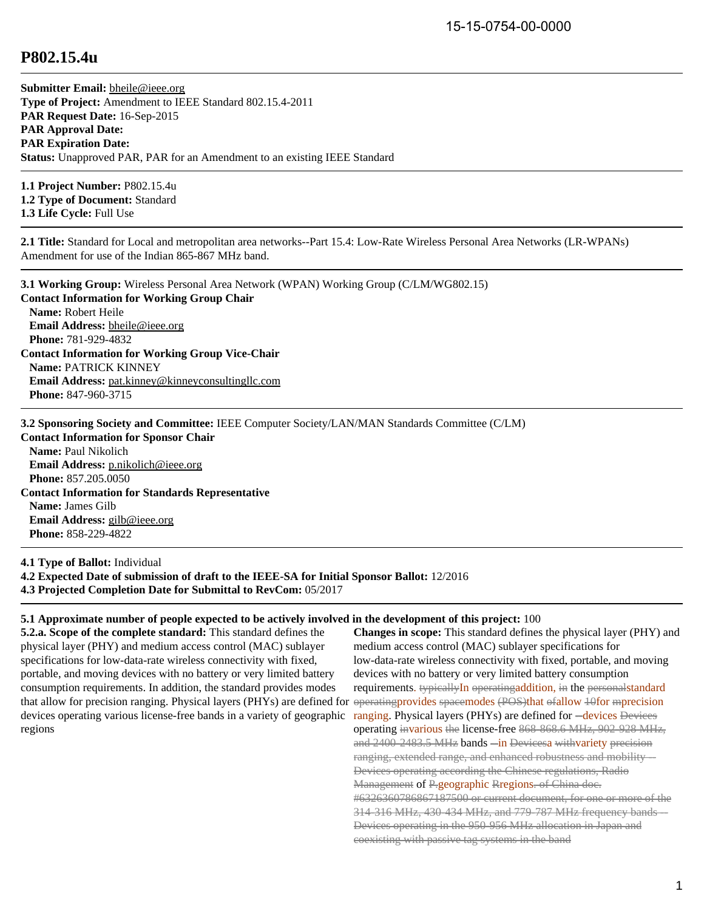## **P802.15.4u**

**Submitter Email:** [bheile@ieee.org](mailto:bheile%40ieee.org) **Type of Project:** Amendment to IEEE Standard 802.15.4-2011 **PAR Request Date:** 16-Sep-2015 **PAR Approval Date: PAR Expiration Date: Status:** Unapproved PAR, PAR for an Amendment to an existing IEEE Standard

**1.1 Project Number:** P802.15.4u **1.2 Type of Document:** Standard **1.3 Life Cycle:** Full Use

**2.1 Title:** Standard for Local and metropolitan area networks--Part 15.4: Low-Rate Wireless Personal Area Networks (LR-WPANs) Amendment for use of the Indian 865-867 MHz band.

**3.1 Working Group:** Wireless Personal Area Network (WPAN) Working Group (C/LM/WG802.15) **Contact Information for Working Group Chair Name:** Robert Heile **Email Address:** [bheile@ieee.org](mailto:bheile%40ieee.org) **Phone:** 781-929-4832 **Contact Information for Working Group Vice-Chair Name:** PATRICK KINNEY **Email Address:** [pat.kinney@kinneyconsultingllc.com](mailto:pat.kinney%40kinneyconsultingllc.com) **Phone:** 847-960-3715

**3.2 Sponsoring Society and Committee:** IEEE Computer Society/LAN/MAN Standards Committee (C/LM)

**Contact Information for Sponsor Chair Name:** Paul Nikolich **Email Address:** [p.nikolich@ieee.org](mailto:p.nikolich%40ieee.org) **Phone:** 857.205.0050 **Contact Information for Standards Representative Name:** James Gilb **Email Address:** [gilb@ieee.org](mailto:gilb%40ieee.org) **Phone:** 858-229-4822

**4.1 Type of Ballot:** Individual **4.2 Expected Date of submission of draft to the IEEE-SA for Initial Sponsor Ballot:** 12/2016 **4.3 Projected Completion Date for Submittal to RevCom:** 05/2017

## **5.1 Approximate number of people expected to be actively involved in the development of this project:** 100

**5.2.a. Scope of the complete standard:** This standard defines the physical layer (PHY) and medium access control (MAC) sublayer specifications for low-data-rate wireless connectivity with fixed, portable, and moving devices with no battery or very limited battery consumption requirements. In addition, the standard provides modes that allow for precision ranging. Physical layers (PHYs) are defined for devices operating various license-free bands in a variety of geographic regions

**Changes in scope:** This standard defines the physical layer (PHY) and medium access control (MAC) sublayer specifications for low-data-rate wireless connectivity with fixed, portable, and moving devices with no battery or very limited battery consumption requirements. typicallyIn operatingaddition, in the personalstandard operatingprovides spacemodes (POS)that ofallow 10for mprecision ranging. Physical layers (PHYs) are defined for --devices Devices operating invarious the license-free 868-868.6 MHz, 902-928 MHz, and 2400-2483.5 MHz bands -in Devicesa withvariety precision ranging, extended range, and enhanced robustness and mobility-Devices operating according the Chinese regulations, Radio Management of P.geographic Rregions. of China doc. #6326360786867187500 or current document, for one or more of the 314-316 MHz, 430-434 MHz, and 779-787 MHz frequency bands --Devices operating in the 950-956 MHz allocation in Japan and coexisting with passive tag systems in the band